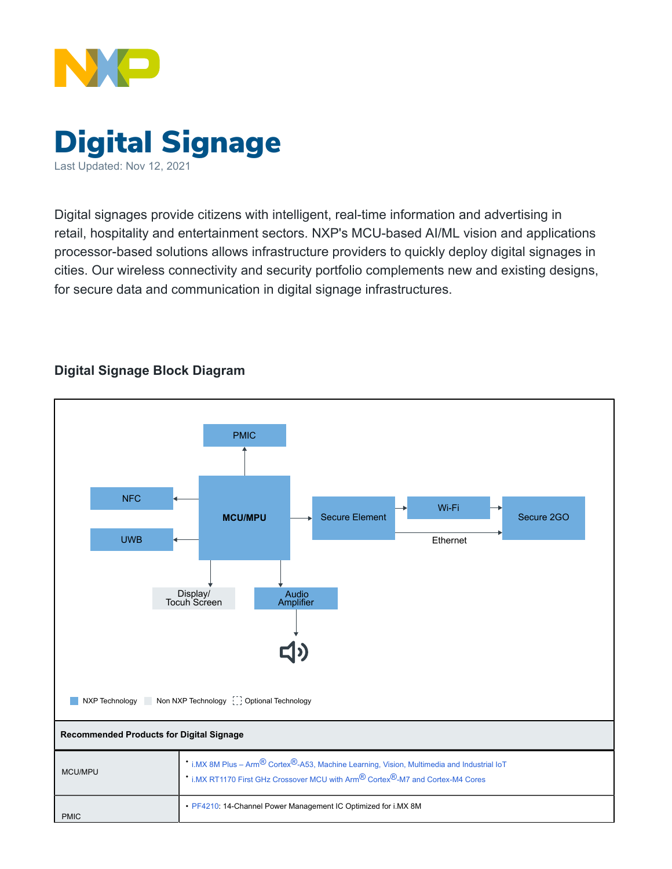



Digital signages provide citizens with intelligent, real-time information and advertising in retail, hospitality and entertainment sectors. NXP's MCU-based AI/ML vision and applications processor-based solutions allows infrastructure providers to quickly deploy digital signages in cities. Our wireless connectivity and security portfolio complements new and existing designs, for secure data and communication in digital signage infrastructures.

## **Digital Signage Block Diagram**